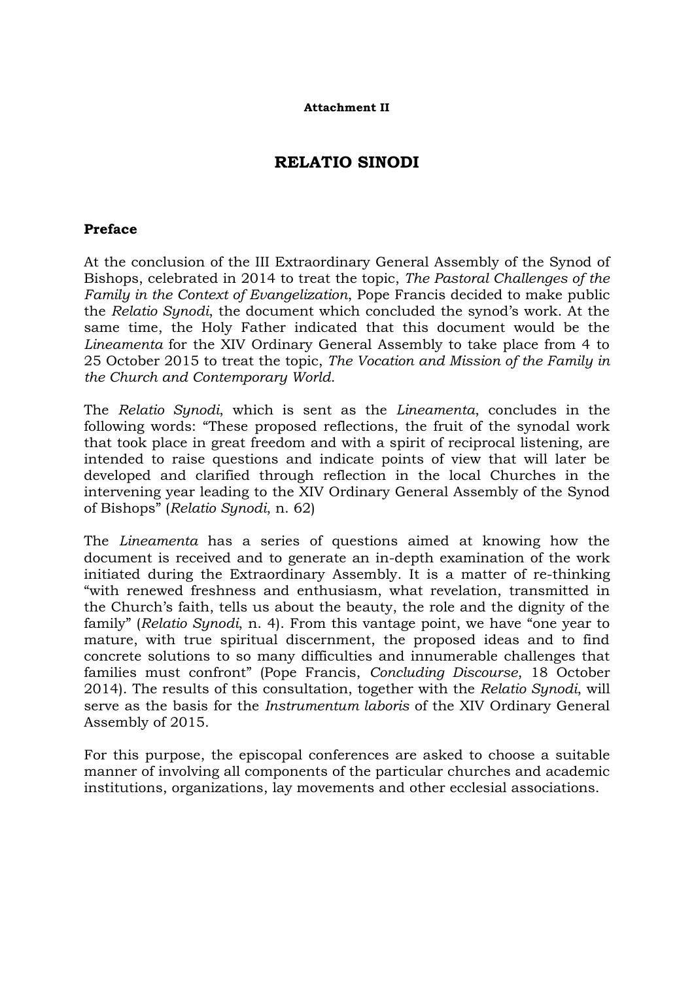# **RELATIO SINODI**

#### **Preface**

At the conclusion of the III Extraordinary General Assembly of the Synod of Bishops, celebrated in 2014 to treat the topic, *The Pastoral Challenges of the Family in the Context of Evangelization*, Pope Francis decided to make public the *Relatio Synodi*, the document which concluded the synod's work. At the same time, the Holy Father indicated that this document would be the *Lineamenta* for the XIV Ordinary General Assembly to take place from 4 to 25 October 2015 to treat the topic, *The Vocation and Mission of the Family in the Church and Contemporary World*.

The *Relatio Synodi*, which is sent as the *Lineamenta*, concludes in the following words: "These proposed reflections, the fruit of the synodal work that took place in great freedom and with a spirit of reciprocal listening, are intended to raise questions and indicate points of view that will later be developed and clarified through reflection in the local Churches in the intervening year leading to the XIV Ordinary General Assembly of the Synod of Bishops" (*Relatio Synodi*, n. 62)

The *Lineamenta* has a series of questions aimed at knowing how the document is received and to generate an in-depth examination of the work initiated during the Extraordinary Assembly. It is a matter of re-thinking "with renewed freshness and enthusiasm, what revelation, transmitted in the Church's faith, tells us about the beauty, the role and the dignity of the family" (*Relatio Synodi*, n. 4). From this vantage point, we have "one year to mature, with true spiritual discernment, the proposed ideas and to find concrete solutions to so many difficulties and innumerable challenges that families must confront" (Pope Francis, *Concluding Discourse*, 18 October 2014). The results of this consultation, together with the *Relatio Synodi*, will serve as the basis for the *Instrumentum laboris* of the XIV Ordinary General Assembly of 2015.

For this purpose, the episcopal conferences are asked to choose a suitable manner of involving all components of the particular churches and academic institutions, organizations, lay movements and other ecclesial associations.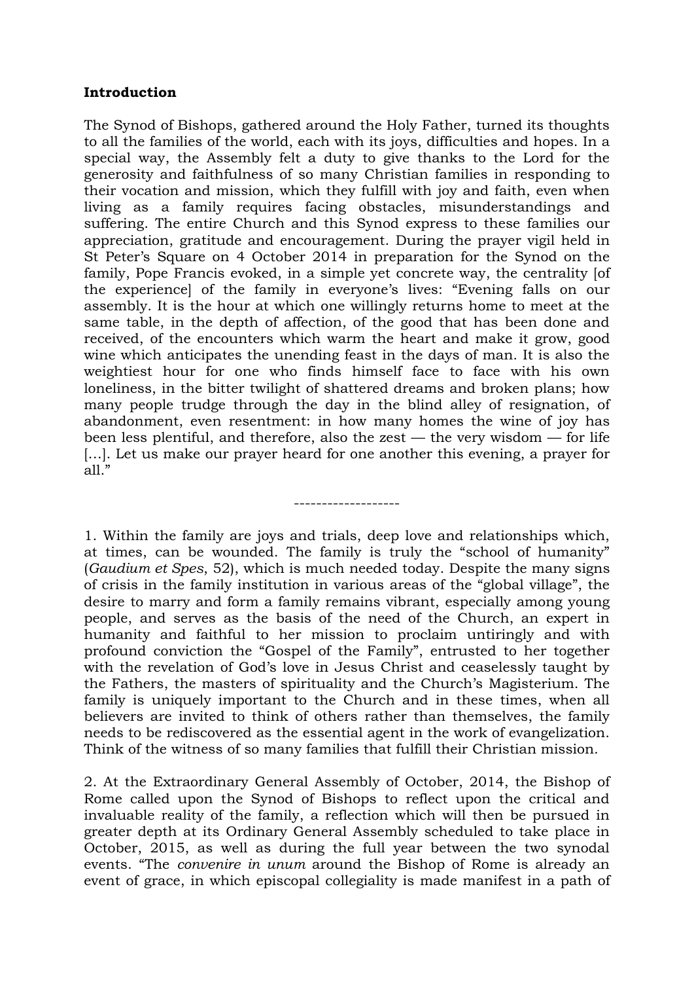### **Introduction**

The Synod of Bishops, gathered around the Holy Father, turned its thoughts to all the families of the world, each with its joys, difficulties and hopes. In a special way, the Assembly felt a duty to give thanks to the Lord for the generosity and faithfulness of so many Christian families in responding to their vocation and mission, which they fulfill with joy and faith, even when living as a family requires facing obstacles, misunderstandings and suffering. The entire Church and this Synod express to these families our appreciation, gratitude and encouragement. During the prayer vigil held in St Peter's Square on 4 October 2014 in preparation for the Synod on the family, Pope Francis evoked, in a simple yet concrete way, the centrality [of the experience] of the family in everyone's lives: "Evening falls on our assembly. It is the hour at which one willingly returns home to meet at the same table, in the depth of affection, of the good that has been done and received, of the encounters which warm the heart and make it grow, good wine which anticipates the unending feast in the days of man. It is also the weightiest hour for one who finds himself face to face with his own loneliness, in the bitter twilight of shattered dreams and broken plans; how many people trudge through the day in the blind alley of resignation, of abandonment, even resentment: in how many homes the wine of joy has been less plentiful, and therefore, also the zest — the very wisdom — for life [...]. Let us make our prayer heard for one another this evening, a prayer for all."

1. Within the family are joys and trials, deep love and relationships which, at times, can be wounded. The family is truly the "school of humanity" (*Gaudium et Spes*, 52), which is much needed today. Despite the many signs of crisis in the family institution in various areas of the "global village", the desire to marry and form a family remains vibrant, especially among young people, and serves as the basis of the need of the Church, an expert in humanity and faithful to her mission to proclaim untiringly and with profound conviction the "Gospel of the Family", entrusted to her together with the revelation of God's love in Jesus Christ and ceaselessly taught by the Fathers, the masters of spirituality and the Church's Magisterium. The family is uniquely important to the Church and in these times, when all believers are invited to think of others rather than themselves, the family needs to be rediscovered as the essential agent in the work of evangelization. Think of the witness of so many families that fulfill their Christian mission.

-------------------

2. At the Extraordinary General Assembly of October, 2014, the Bishop of Rome called upon the Synod of Bishops to reflect upon the critical and invaluable reality of the family, a reflection which will then be pursued in greater depth at its Ordinary General Assembly scheduled to take place in October, 2015, as well as during the full year between the two synodal events. "The *convenire in unum* around the Bishop of Rome is already an event of grace, in which episcopal collegiality is made manifest in a path of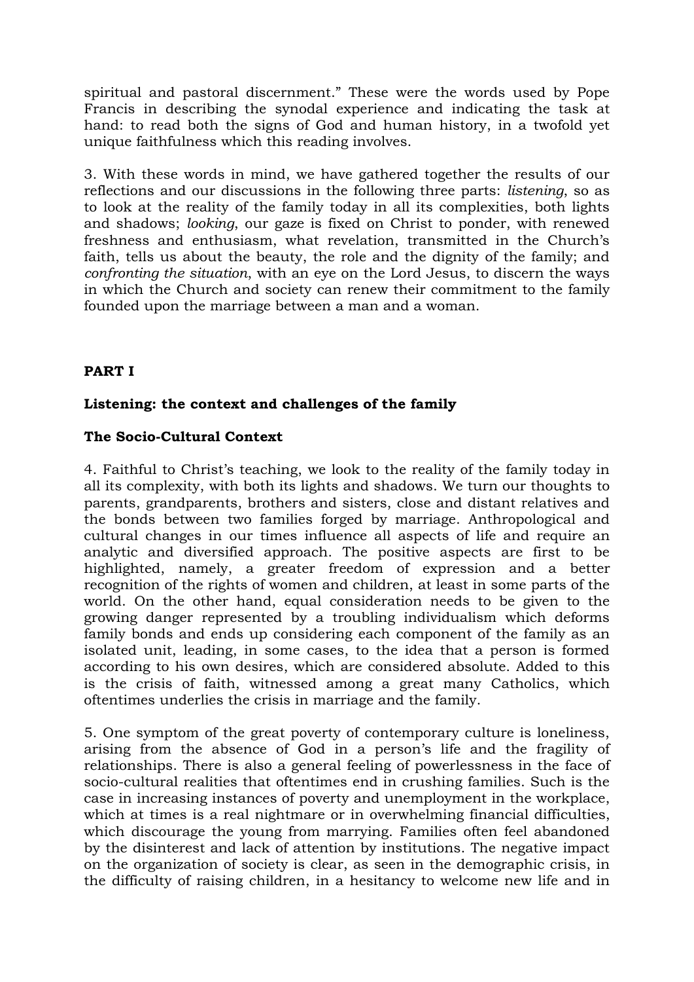spiritual and pastoral discernment." These were the words used by Pope Francis in describing the synodal experience and indicating the task at hand: to read both the signs of God and human history, in a twofold yet unique faithfulness which this reading involves.

3. With these words in mind, we have gathered together the results of our reflections and our discussions in the following three parts: *listening*, so as to look at the reality of the family today in all its complexities, both lights and shadows; *looking*, our gaze is fixed on Christ to ponder, with renewed freshness and enthusiasm, what revelation, transmitted in the Church's faith, tells us about the beauty, the role and the dignity of the family; and *confronting the situation*, with an eye on the Lord Jesus, to discern the ways in which the Church and society can renew their commitment to the family founded upon the marriage between a man and a woman.

### **PART I**

#### **Listening: the context and challenges of the family**

#### **The Socio-Cultural Context**

4. Faithful to Christ's teaching, we look to the reality of the family today in all its complexity, with both its lights and shadows. We turn our thoughts to parents, grandparents, brothers and sisters, close and distant relatives and the bonds between two families forged by marriage. Anthropological and cultural changes in our times influence all aspects of life and require an analytic and diversified approach. The positive aspects are first to be highlighted, namely, a greater freedom of expression and a better recognition of the rights of women and children, at least in some parts of the world. On the other hand, equal consideration needs to be given to the growing danger represented by a troubling individualism which deforms family bonds and ends up considering each component of the family as an isolated unit, leading, in some cases, to the idea that a person is formed according to his own desires, which are considered absolute. Added to this is the crisis of faith, witnessed among a great many Catholics, which oftentimes underlies the crisis in marriage and the family.

5. One symptom of the great poverty of contemporary culture is loneliness, arising from the absence of God in a person's life and the fragility of relationships. There is also a general feeling of powerlessness in the face of socio-cultural realities that oftentimes end in crushing families. Such is the case in increasing instances of poverty and unemployment in the workplace, which at times is a real nightmare or in overwhelming financial difficulties, which discourage the young from marrying. Families often feel abandoned by the disinterest and lack of attention by institutions. The negative impact on the organization of society is clear, as seen in the demographic crisis, in the difficulty of raising children, in a hesitancy to welcome new life and in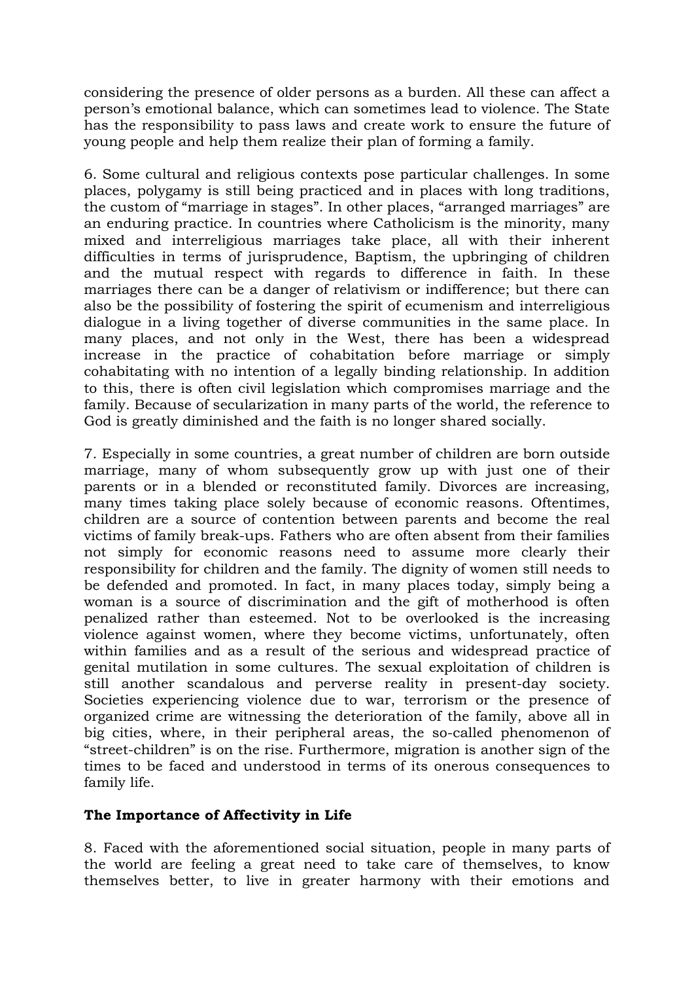considering the presence of older persons as a burden. All these can affect a person's emotional balance, which can sometimes lead to violence. The State has the responsibility to pass laws and create work to ensure the future of young people and help them realize their plan of forming a family.

6. Some cultural and religious contexts pose particular challenges. In some places, polygamy is still being practiced and in places with long traditions, the custom of "marriage in stages". In other places, "arranged marriages" are an enduring practice. In countries where Catholicism is the minority, many mixed and interreligious marriages take place, all with their inherent difficulties in terms of jurisprudence, Baptism, the upbringing of children and the mutual respect with regards to difference in faith. In these marriages there can be a danger of relativism or indifference; but there can also be the possibility of fostering the spirit of ecumenism and interreligious dialogue in a living together of diverse communities in the same place. In many places, and not only in the West, there has been a widespread increase in the practice of cohabitation before marriage or simply cohabitating with no intention of a legally binding relationship. In addition to this, there is often civil legislation which compromises marriage and the family. Because of secularization in many parts of the world, the reference to God is greatly diminished and the faith is no longer shared socially.

7. Especially in some countries, a great number of children are born outside marriage, many of whom subsequently grow up with just one of their parents or in a blended or reconstituted family. Divorces are increasing, many times taking place solely because of economic reasons. Oftentimes, children are a source of contention between parents and become the real victims of family break-ups. Fathers who are often absent from their families not simply for economic reasons need to assume more clearly their responsibility for children and the family. The dignity of women still needs to be defended and promoted. In fact, in many places today, simply being a woman is a source of discrimination and the gift of motherhood is often penalized rather than esteemed. Not to be overlooked is the increasing violence against women, where they become victims, unfortunately, often within families and as a result of the serious and widespread practice of genital mutilation in some cultures. The sexual exploitation of children is still another scandalous and perverse reality in present-day society. Societies experiencing violence due to war, terrorism or the presence of organized crime are witnessing the deterioration of the family, above all in big cities, where, in their peripheral areas, the so-called phenomenon of "street-children" is on the rise. Furthermore, migration is another sign of the times to be faced and understood in terms of its onerous consequences to family life.

#### **The Importance of Affectivity in Life**

8. Faced with the aforementioned social situation, people in many parts of the world are feeling a great need to take care of themselves, to know themselves better, to live in greater harmony with their emotions and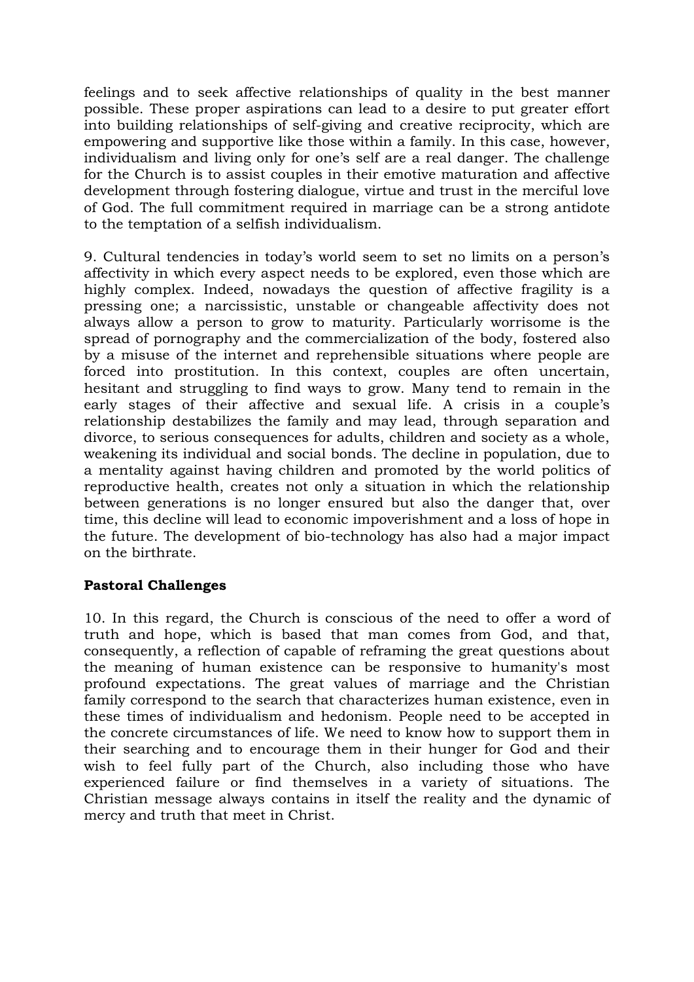feelings and to seek affective relationships of quality in the best manner possible. These proper aspirations can lead to a desire to put greater effort into building relationships of self-giving and creative reciprocity, which are empowering and supportive like those within a family. In this case, however, individualism and living only for one's self are a real danger. The challenge for the Church is to assist couples in their emotive maturation and affective development through fostering dialogue, virtue and trust in the merciful love of God. The full commitment required in marriage can be a strong antidote to the temptation of a selfish individualism.

9. Cultural tendencies in today's world seem to set no limits on a person's affectivity in which every aspect needs to be explored, even those which are highly complex. Indeed, nowadays the question of affective fragility is a pressing one; a narcissistic, unstable or changeable affectivity does not always allow a person to grow to maturity. Particularly worrisome is the spread of pornography and the commercialization of the body, fostered also by a misuse of the internet and reprehensible situations where people are forced into prostitution. In this context, couples are often uncertain, hesitant and struggling to find ways to grow. Many tend to remain in the early stages of their affective and sexual life. A crisis in a couple's relationship destabilizes the family and may lead, through separation and divorce, to serious consequences for adults, children and society as a whole, weakening its individual and social bonds. The decline in population, due to a mentality against having children and promoted by the world politics of reproductive health, creates not only a situation in which the relationship between generations is no longer ensured but also the danger that, over time, this decline will lead to economic impoverishment and a loss of hope in the future. The development of bio-technology has also had a major impact on the birthrate.

## **Pastoral Challenges**

10. In this regard, the Church is conscious of the need to offer a word of truth and hope, which is based that man comes from God, and that, consequently, a reflection of capable of reframing the great questions about the meaning of human existence can be responsive to humanity's most profound expectations. The great values of marriage and the Christian family correspond to the search that characterizes human existence, even in these times of individualism and hedonism. People need to be accepted in the concrete circumstances of life. We need to know how to support them in their searching and to encourage them in their hunger for God and their wish to feel fully part of the Church, also including those who have experienced failure or find themselves in a variety of situations. The Christian message always contains in itself the reality and the dynamic of mercy and truth that meet in Christ.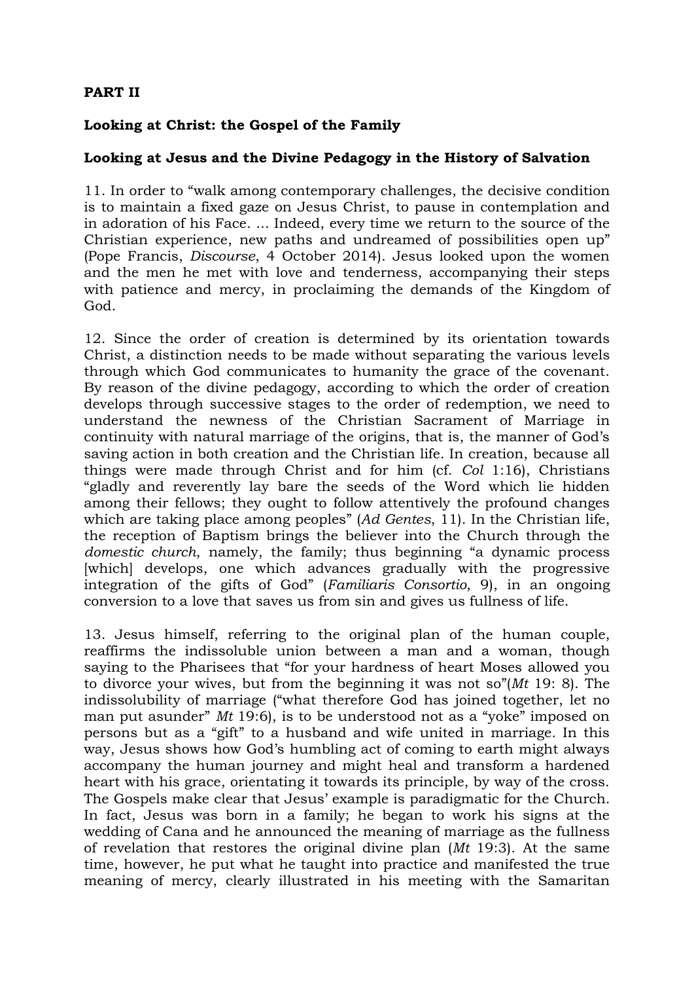## **PART II**

### **Looking at Christ: the Gospel of the Family**

### **Looking at Jesus and the Divine Pedagogy in the History of Salvation**

11. In order to "walk among contemporary challenges, the decisive condition is to maintain a fixed gaze on Jesus Christ, to pause in contemplation and in adoration of his Face. ... Indeed, every time we return to the source of the Christian experience, new paths and undreamed of possibilities open up" (Pope Francis, *Discourse*, 4 October 2014). Jesus looked upon the women and the men he met with love and tenderness, accompanying their steps with patience and mercy, in proclaiming the demands of the Kingdom of God.

12. Since the order of creation is determined by its orientation towards Christ, a distinction needs to be made without separating the various levels through which God communicates to humanity the grace of the covenant. By reason of the divine pedagogy, according to which the order of creation develops through successive stages to the order of redemption, we need to understand the newness of the Christian Sacrament of Marriage in continuity with natural marriage of the origins, that is, the manner of God's saving action in both creation and the Christian life. In creation, because all things were made through Christ and for him (cf. *Col* 1:16), Christians "gladly and reverently lay bare the seeds of the Word which lie hidden among their fellows; they ought to follow attentively the profound changes which are taking place among peoples" (*Ad Gentes*, 11). In the Christian life, the reception of Baptism brings the believer into the Church through the *domestic church*, namely, the family; thus beginning "a dynamic process [which] develops, one which advances gradually with the progressive integration of the gifts of God" (*Familiaris Consortio*, 9), in an ongoing conversion to a love that saves us from sin and gives us fullness of life.

13. Jesus himself, referring to the original plan of the human couple, reaffirms the indissoluble union between a man and a woman, though saying to the Pharisees that "for your hardness of heart Moses allowed you to divorce your wives, but from the beginning it was not so"(*Mt* 19: 8). The indissolubility of marriage ("what therefore God has joined together, let no man put asunder" *Mt* 19:6), is to be understood not as a "yoke" imposed on persons but as a "gift" to a husband and wife united in marriage. In this way, Jesus shows how God's humbling act of coming to earth might always accompany the human journey and might heal and transform a hardened heart with his grace, orientating it towards its principle, by way of the cross. The Gospels make clear that Jesus' example is paradigmatic for the Church. In fact, Jesus was born in a family; he began to work his signs at the wedding of Cana and he announced the meaning of marriage as the fullness of revelation that restores the original divine plan (*Mt* 19:3). At the same time, however, he put what he taught into practice and manifested the true meaning of mercy, clearly illustrated in his meeting with the Samaritan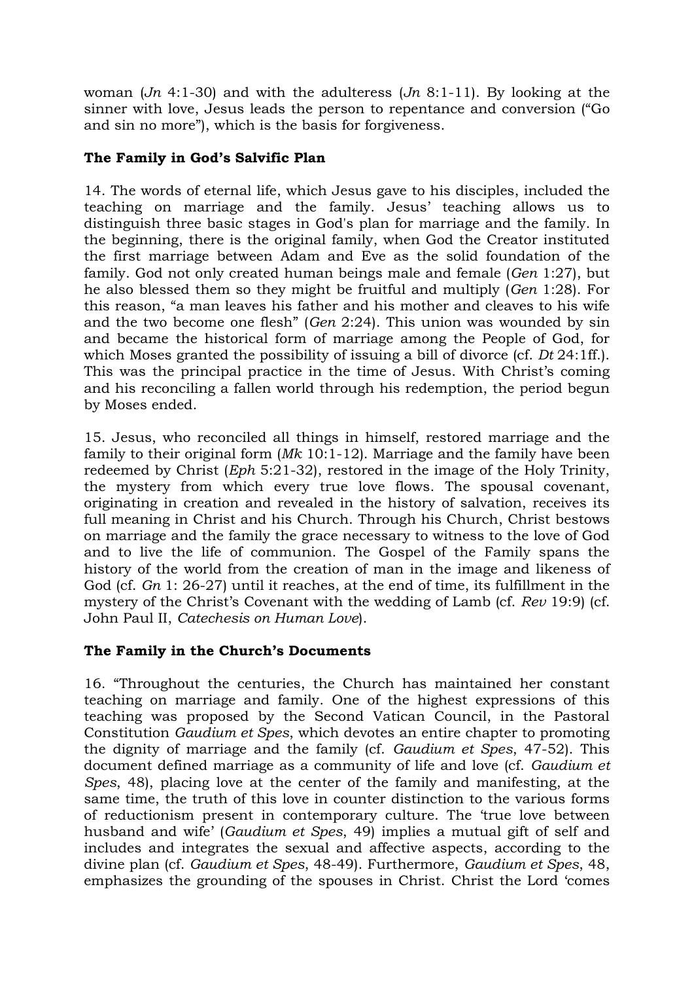woman (*Jn* 4:1-30) and with the adulteress (*Jn* 8:1-11). By looking at the sinner with love, Jesus leads the person to repentance and conversion ("Go and sin no more"), which is the basis for forgiveness.

## **The Family in God's Salvific Plan**

14. The words of eternal life, which Jesus gave to his disciples, included the teaching on marriage and the family. Jesus' teaching allows us to distinguish three basic stages in God's plan for marriage and the family. In the beginning, there is the original family, when God the Creator instituted the first marriage between Adam and Eve as the solid foundation of the family. God not only created human beings male and female (*Gen* 1:27), but he also blessed them so they might be fruitful and multiply (*Gen* 1:28). For this reason, "a man leaves his father and his mother and cleaves to his wife and the two become one flesh" (*Gen* 2:24). This union was wounded by sin and became the historical form of marriage among the People of God, for which Moses granted the possibility of issuing a bill of divorce (cf. *Dt* 24:1ff.). This was the principal practice in the time of Jesus. With Christ's coming and his reconciling a fallen world through his redemption, the period begun by Moses ended.

15. Jesus, who reconciled all things in himself, restored marriage and the family to their original form (*Mk* 10:1-12). Marriage and the family have been redeemed by Christ (*Eph* 5:21-32), restored in the image of the Holy Trinity, the mystery from which every true love flows. The spousal covenant, originating in creation and revealed in the history of salvation, receives its full meaning in Christ and his Church. Through his Church, Christ bestows on marriage and the family the grace necessary to witness to the love of God and to live the life of communion. The Gospel of the Family spans the history of the world from the creation of man in the image and likeness of God (cf. *Gn* 1: 26-27) until it reaches, at the end of time, its fulfillment in the mystery of the Christ's Covenant with the wedding of Lamb (cf. *Rev* 19:9) (cf. John Paul II, *Catechesis on Human Love*).

## **The Family in the Church's Documents**

16. "Throughout the centuries, the Church has maintained her constant teaching on marriage and family. One of the highest expressions of this teaching was proposed by the Second Vatican Council, in the Pastoral Constitution *Gaudium et Spes*, which devotes an entire chapter to promoting the dignity of marriage and the family (cf. *Gaudium et Spes*, 47-52). This document defined marriage as a community of life and love (cf. *Gaudium et Spes*, 48), placing love at the center of the family and manifesting, at the same time, the truth of this love in counter distinction to the various forms of reductionism present in contemporary culture. The 'true love between husband and wife' (*Gaudium et Spes*, 49) implies a mutual gift of self and includes and integrates the sexual and affective aspects, according to the divine plan (cf. *Gaudium et Spes*, 48-49). Furthermore, *Gaudium et Spes*, 48, emphasizes the grounding of the spouses in Christ. Christ the Lord 'comes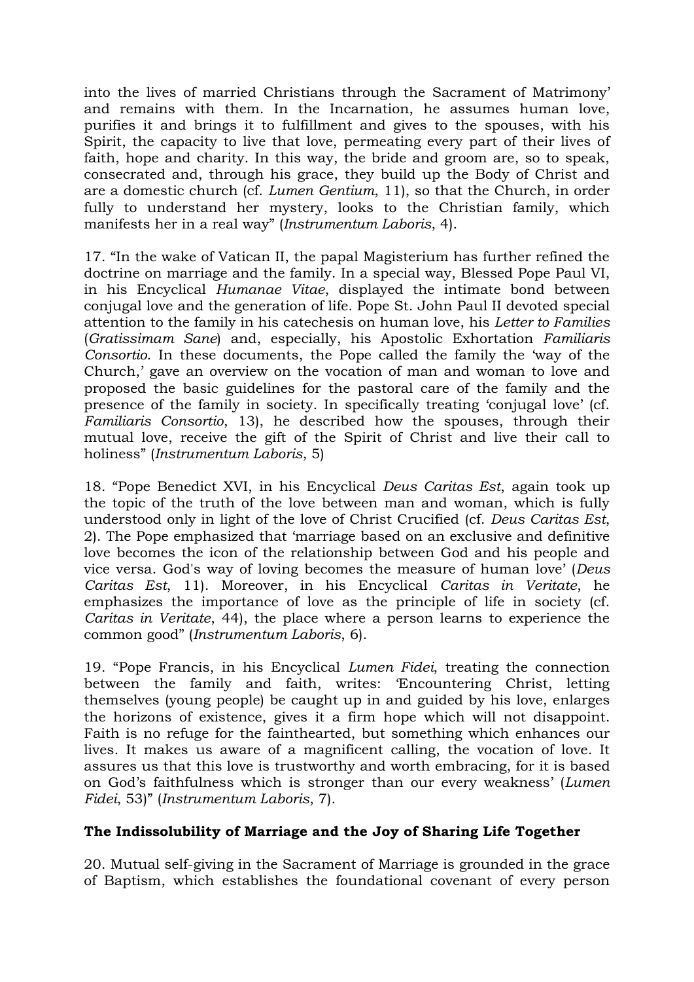into the lives of married Christians through the Sacrament of Matrimony' and remains with them. In the Incarnation, he assumes human love, purifies it and brings it to fulfillment and gives to the spouses, with his Spirit, the capacity to live that love, permeating every part of their lives of faith, hope and charity. In this way, the bride and groom are, so to speak, consecrated and, through his grace, they build up the Body of Christ and are a domestic church (cf. *Lumen Gentium*, 11), so that the Church, in order fully to understand her mystery, looks to the Christian family, which manifests her in a real way" (*Instrumentum Laboris*, 4).

17. "In the wake of Vatican II, the papal Magisterium has further refined the doctrine on marriage and the family. In a special way, Blessed Pope Paul VI, in his Encyclical *Humanae Vitae*, displayed the intimate bond between conjugal love and the generation of life. Pope St. John Paul II devoted special attention to the family in his catechesis on human love, his *Letter to Families* (*Gratissimam Sane*) and, especially, his Apostolic Exhortation *Familiaris Consortio*. In these documents, the Pope called the family the 'way of the Church,' gave an overview on the vocation of man and woman to love and proposed the basic guidelines for the pastoral care of the family and the presence of the family in society. In specifically treating 'conjugal love' (cf. *Familiaris Consortio*, 13), he described how the spouses, through their mutual love, receive the gift of the Spirit of Christ and live their call to holiness" (*Instrumentum Laboris*, 5)

18. "Pope Benedict XVI, in his Encyclical *Deus Caritas Est*, again took up the topic of the truth of the love between man and woman, which is fully understood only in light of the love of Christ Crucified (cf. *Deus Caritas Est*, 2). The Pope emphasized that 'marriage based on an exclusive and definitive love becomes the icon of the relationship between God and his people and vice versa. God's way of loving becomes the measure of human love' (*Deus Caritas Est*, 11). Moreover, in his Encyclical *Caritas in Veritate*, he emphasizes the importance of love as the principle of life in society (cf. *Caritas in Veritate*, 44), the place where a person learns to experience the common good" (*Instrumentum Laboris*, 6).

19. "Pope Francis, in his Encyclical *Lumen Fidei*, treating the connection between the family and faith, writes: 'Encountering Christ, letting themselves (young people) be caught up in and guided by his love, enlarges the horizons of existence, gives it a firm hope which will not disappoint. Faith is no refuge for the fainthearted, but something which enhances our lives. It makes us aware of a magnificent calling, the vocation of love. It assures us that this love is trustworthy and worth embracing, for it is based on God's faithfulness which is stronger than our every weakness' (*Lumen Fidei*, 53)" (*Instrumentum Laboris*, 7).

## **The Indissolubility of Marriage and the Joy of Sharing Life Together**

20. Mutual self-giving in the Sacrament of Marriage is grounded in the grace of Baptism, which establishes the foundational covenant of every person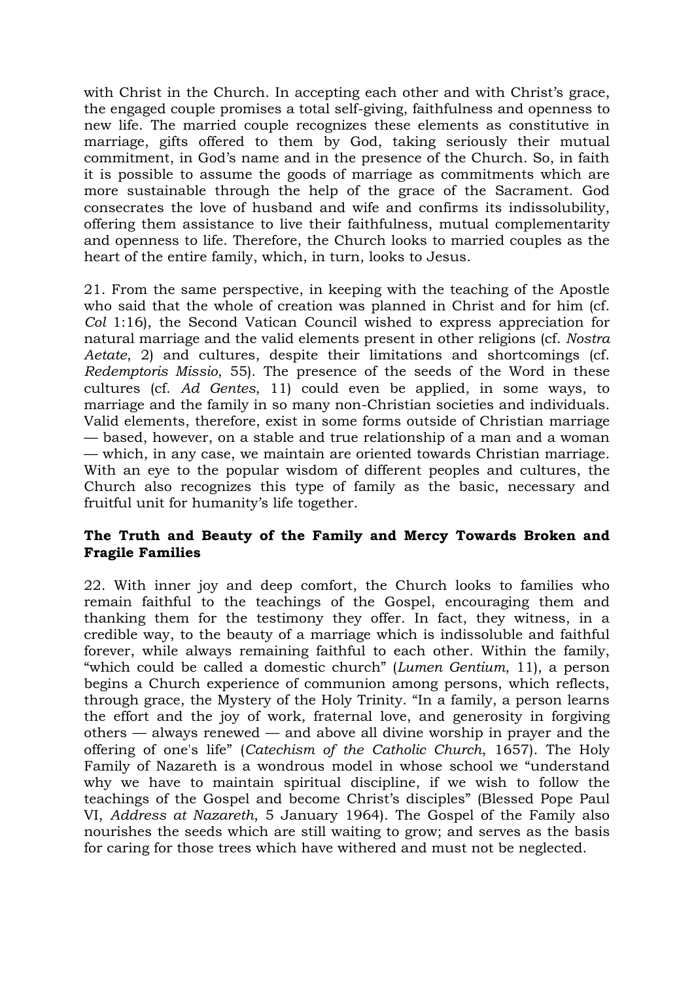with Christ in the Church. In accepting each other and with Christ's grace, the engaged couple promises a total self-giving, faithfulness and openness to new life. The married couple recognizes these elements as constitutive in marriage, gifts offered to them by God, taking seriously their mutual commitment, in God's name and in the presence of the Church. So, in faith it is possible to assume the goods of marriage as commitments which are more sustainable through the help of the grace of the Sacrament. God consecrates the love of husband and wife and confirms its indissolubility, offering them assistance to live their faithfulness, mutual complementarity and openness to life. Therefore, the Church looks to married couples as the heart of the entire family, which, in turn, looks to Jesus.

21. From the same perspective, in keeping with the teaching of the Apostle who said that the whole of creation was planned in Christ and for him (cf. *Col* 1:16), the Second Vatican Council wished to express appreciation for natural marriage and the valid elements present in other religions (cf. *Nostra Aetate*, 2) and cultures, despite their limitations and shortcomings (cf. *Redemptoris Missio*, 55). The presence of the seeds of the Word in these cultures (cf. *Ad Gentes*, 11) could even be applied, in some ways, to marriage and the family in so many non-Christian societies and individuals. Valid elements, therefore, exist in some forms outside of Christian marriage — based, however, on a stable and true relationship of a man and a woman — which, in any case, we maintain are oriented towards Christian marriage. With an eye to the popular wisdom of different peoples and cultures, the Church also recognizes this type of family as the basic, necessary and fruitful unit for humanity's life together.

#### **The Truth and Beauty of the Family and Mercy Towards Broken and Fragile Families**

22. With inner joy and deep comfort, the Church looks to families who remain faithful to the teachings of the Gospel, encouraging them and thanking them for the testimony they offer. In fact, they witness, in a credible way, to the beauty of a marriage which is indissoluble and faithful forever, while always remaining faithful to each other. Within the family, "which could be called a domestic church" (*Lumen Gentium*, 11), a person begins a Church experience of communion among persons, which reflects, through grace, the Mystery of the Holy Trinity. "In a family, a person learns the effort and the joy of work, fraternal love, and generosity in forgiving others — always renewed — and above all divine worship in prayer and the offering of one's life" (*Catechism of the Catholic Church*, 1657). The Holy Family of Nazareth is a wondrous model in whose school we "understand why we have to maintain spiritual discipline, if we wish to follow the teachings of the Gospel and become Christ's disciples" (Blessed Pope Paul VI, *Address at Nazareth*, 5 January 1964). The Gospel of the Family also nourishes the seeds which are still waiting to grow; and serves as the basis for caring for those trees which have withered and must not be neglected.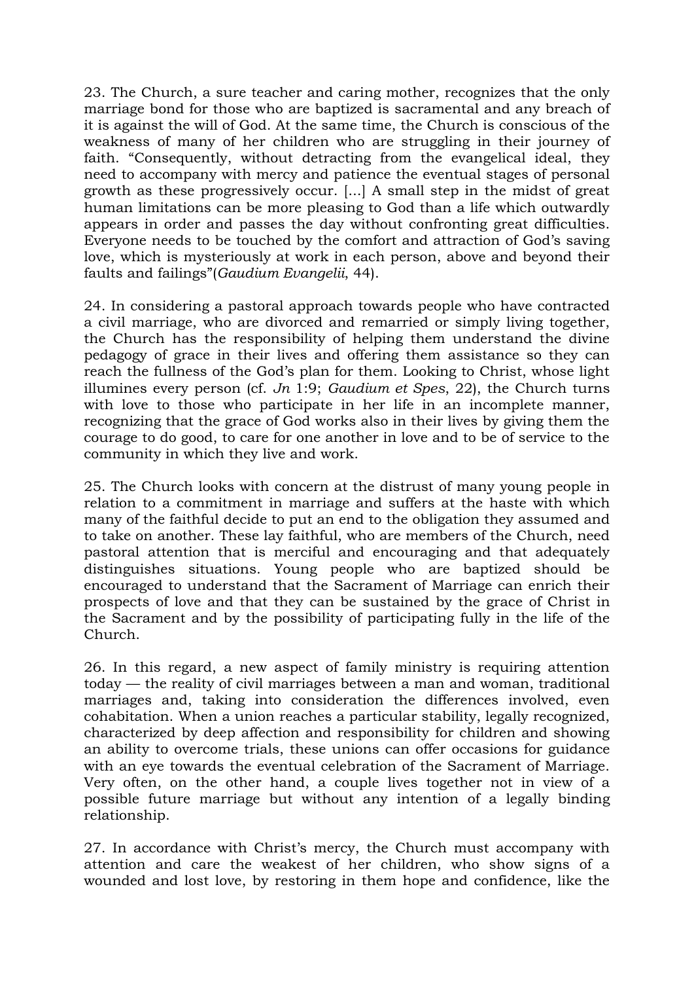23. The Church, a sure teacher and caring mother, recognizes that the only marriage bond for those who are baptized is sacramental and any breach of it is against the will of God. At the same time, the Church is conscious of the weakness of many of her children who are struggling in their journey of faith. "Consequently, without detracting from the evangelical ideal, they need to accompany with mercy and patience the eventual stages of personal growth as these progressively occur. [...] A small step in the midst of great human limitations can be more pleasing to God than a life which outwardly appears in order and passes the day without confronting great difficulties. Everyone needs to be touched by the comfort and attraction of God's saving love, which is mysteriously at work in each person, above and beyond their faults and failings"(*Gaudium Evangelii*, 44).

24. In considering a pastoral approach towards people who have contracted a civil marriage, who are divorced and remarried or simply living together, the Church has the responsibility of helping them understand the divine pedagogy of grace in their lives and offering them assistance so they can reach the fullness of the God's plan for them. Looking to Christ, whose light illumines every person (cf. *Jn* 1:9; *Gaudium et Spes*, 22), the Church turns with love to those who participate in her life in an incomplete manner, recognizing that the grace of God works also in their lives by giving them the courage to do good, to care for one another in love and to be of service to the community in which they live and work.

25. The Church looks with concern at the distrust of many young people in relation to a commitment in marriage and suffers at the haste with which many of the faithful decide to put an end to the obligation they assumed and to take on another. These lay faithful, who are members of the Church, need pastoral attention that is merciful and encouraging and that adequately distinguishes situations. Young people who are baptized should be encouraged to understand that the Sacrament of Marriage can enrich their prospects of love and that they can be sustained by the grace of Christ in the Sacrament and by the possibility of participating fully in the life of the Church.

26. In this regard, a new aspect of family ministry is requiring attention today — the reality of civil marriages between a man and woman, traditional marriages and, taking into consideration the differences involved, even cohabitation. When a union reaches a particular stability, legally recognized, characterized by deep affection and responsibility for children and showing an ability to overcome trials, these unions can offer occasions for guidance with an eye towards the eventual celebration of the Sacrament of Marriage. Very often, on the other hand, a couple lives together not in view of a possible future marriage but without any intention of a legally binding relationship.

27. In accordance with Christ's mercy, the Church must accompany with attention and care the weakest of her children, who show signs of a wounded and lost love, by restoring in them hope and confidence, like the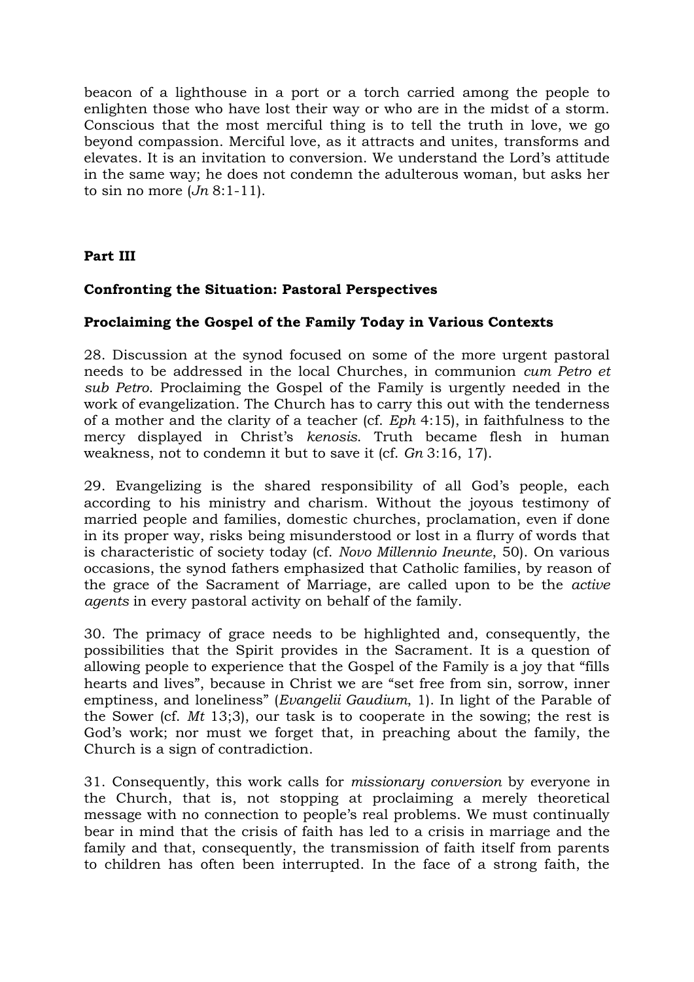beacon of a lighthouse in a port or a torch carried among the people to enlighten those who have lost their way or who are in the midst of a storm. Conscious that the most merciful thing is to tell the truth in love, we go beyond compassion. Merciful love, as it attracts and unites, transforms and elevates. It is an invitation to conversion. We understand the Lord's attitude in the same way; he does not condemn the adulterous woman, but asks her to sin no more (*Jn* 8:1-11).

## **Part III**

### **Confronting the Situation: Pastoral Perspectives**

### **Proclaiming the Gospel of the Family Today in Various Contexts**

28. Discussion at the synod focused on some of the more urgent pastoral needs to be addressed in the local Churches, in communion *cum Petro et sub Petro*. Proclaiming the Gospel of the Family is urgently needed in the work of evangelization. The Church has to carry this out with the tenderness of a mother and the clarity of a teacher (cf. *Eph* 4:15), in faithfulness to the mercy displayed in Christ's *kenosis*. Truth became flesh in human weakness, not to condemn it but to save it (cf. *Gn* 3:16, 17).

29. Evangelizing is the shared responsibility of all God's people, each according to his ministry and charism. Without the joyous testimony of married people and families, domestic churches, proclamation, even if done in its proper way, risks being misunderstood or lost in a flurry of words that is characteristic of society today (cf. *Novo Millennio Ineunte*, 50). On various occasions, the synod fathers emphasized that Catholic families, by reason of the grace of the Sacrament of Marriage, are called upon to be the *active agents* in every pastoral activity on behalf of the family.

30. The primacy of grace needs to be highlighted and, consequently, the possibilities that the Spirit provides in the Sacrament. It is a question of allowing people to experience that the Gospel of the Family is a joy that "fills hearts and lives", because in Christ we are "set free from sin, sorrow, inner emptiness, and loneliness" (*Evangelii Gaudium*, 1). In light of the Parable of the Sower (cf. *Mt* 13;3), our task is to cooperate in the sowing; the rest is God's work; nor must we forget that, in preaching about the family, the Church is a sign of contradiction.

31. Consequently, this work calls for *missionary conversion* by everyone in the Church, that is, not stopping at proclaiming a merely theoretical message with no connection to people's real problems. We must continually bear in mind that the crisis of faith has led to a crisis in marriage and the family and that, consequently, the transmission of faith itself from parents to children has often been interrupted. In the face of a strong faith, the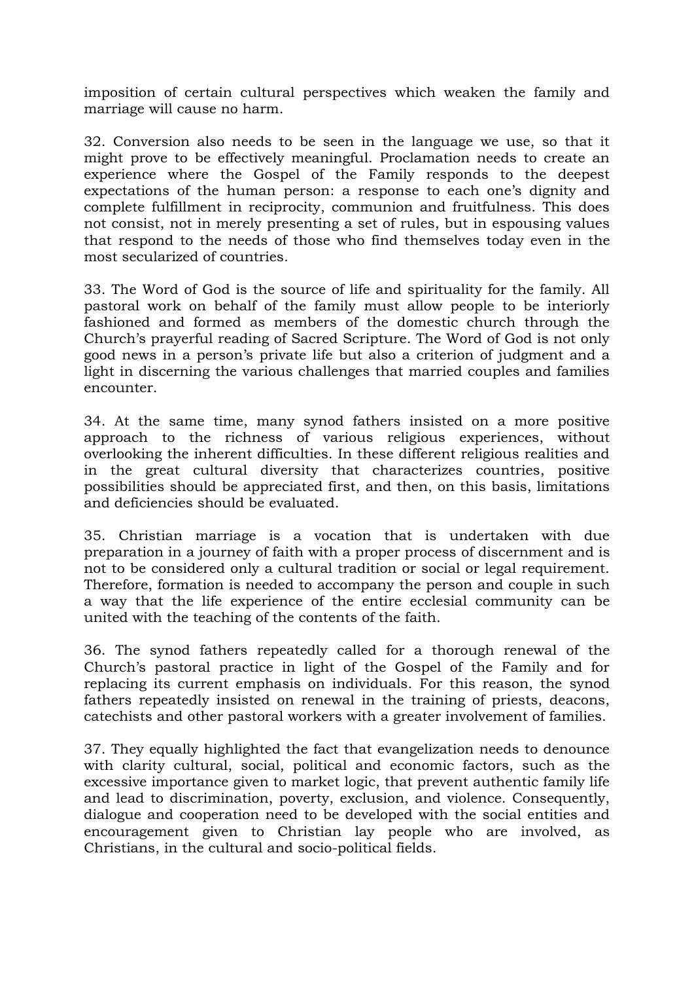imposition of certain cultural perspectives which weaken the family and marriage will cause no harm.

32. Conversion also needs to be seen in the language we use, so that it might prove to be effectively meaningful. Proclamation needs to create an experience where the Gospel of the Family responds to the deepest expectations of the human person: a response to each one's dignity and complete fulfillment in reciprocity, communion and fruitfulness. This does not consist, not in merely presenting a set of rules, but in espousing values that respond to the needs of those who find themselves today even in the most secularized of countries.

33. The Word of God is the source of life and spirituality for the family. All pastoral work on behalf of the family must allow people to be interiorly fashioned and formed as members of the domestic church through the Church's prayerful reading of Sacred Scripture. The Word of God is not only good news in a person's private life but also a criterion of judgment and a light in discerning the various challenges that married couples and families encounter.

34. At the same time, many synod fathers insisted on a more positive approach to the richness of various religious experiences, without overlooking the inherent difficulties. In these different religious realities and in the great cultural diversity that characterizes countries, positive possibilities should be appreciated first, and then, on this basis, limitations and deficiencies should be evaluated.

35. Christian marriage is a vocation that is undertaken with due preparation in a journey of faith with a proper process of discernment and is not to be considered only a cultural tradition or social or legal requirement. Therefore, formation is needed to accompany the person and couple in such a way that the life experience of the entire ecclesial community can be united with the teaching of the contents of the faith.

36. The synod fathers repeatedly called for a thorough renewal of the Church's pastoral practice in light of the Gospel of the Family and for replacing its current emphasis on individuals. For this reason, the synod fathers repeatedly insisted on renewal in the training of priests, deacons, catechists and other pastoral workers with a greater involvement of families.

37. They equally highlighted the fact that evangelization needs to denounce with clarity cultural, social, political and economic factors, such as the excessive importance given to market logic, that prevent authentic family life and lead to discrimination, poverty, exclusion, and violence. Consequently, dialogue and cooperation need to be developed with the social entities and encouragement given to Christian lay people who are involved, as Christians, in the cultural and socio-political fields.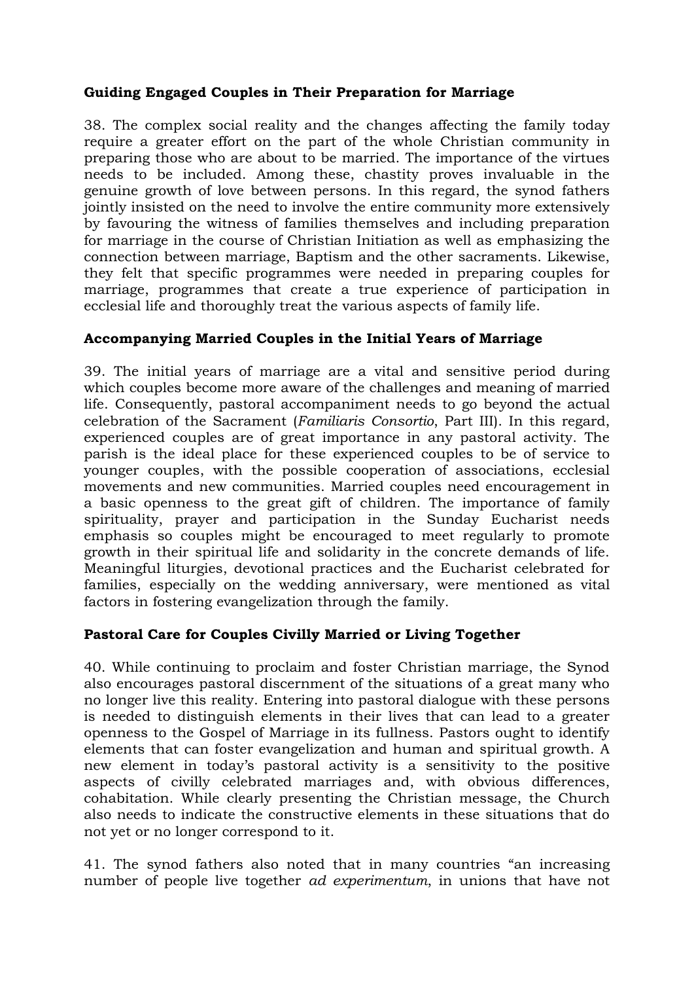## **Guiding Engaged Couples in Their Preparation for Marriage**

38. The complex social reality and the changes affecting the family today require a greater effort on the part of the whole Christian community in preparing those who are about to be married. The importance of the virtues needs to be included. Among these, chastity proves invaluable in the genuine growth of love between persons. In this regard, the synod fathers jointly insisted on the need to involve the entire community more extensively by favouring the witness of families themselves and including preparation for marriage in the course of Christian Initiation as well as emphasizing the connection between marriage, Baptism and the other sacraments. Likewise, they felt that specific programmes were needed in preparing couples for marriage, programmes that create a true experience of participation in ecclesial life and thoroughly treat the various aspects of family life.

# **Accompanying Married Couples in the Initial Years of Marriage**

39. The initial years of marriage are a vital and sensitive period during which couples become more aware of the challenges and meaning of married life. Consequently, pastoral accompaniment needs to go beyond the actual celebration of the Sacrament (*Familiaris Consortio*, Part III). In this regard, experienced couples are of great importance in any pastoral activity. The parish is the ideal place for these experienced couples to be of service to younger couples, with the possible cooperation of associations, ecclesial movements and new communities. Married couples need encouragement in a basic openness to the great gift of children. The importance of family spirituality, prayer and participation in the Sunday Eucharist needs emphasis so couples might be encouraged to meet regularly to promote growth in their spiritual life and solidarity in the concrete demands of life. Meaningful liturgies, devotional practices and the Eucharist celebrated for families, especially on the wedding anniversary, were mentioned as vital factors in fostering evangelization through the family.

## **Pastoral Care for Couples Civilly Married or Living Together**

40. While continuing to proclaim and foster Christian marriage, the Synod also encourages pastoral discernment of the situations of a great many who no longer live this reality. Entering into pastoral dialogue with these persons is needed to distinguish elements in their lives that can lead to a greater openness to the Gospel of Marriage in its fullness. Pastors ought to identify elements that can foster evangelization and human and spiritual growth. A new element in today's pastoral activity is a sensitivity to the positive aspects of civilly celebrated marriages and, with obvious differences, cohabitation. While clearly presenting the Christian message, the Church also needs to indicate the constructive elements in these situations that do not yet or no longer correspond to it.

41. The synod fathers also noted that in many countries "an increasing number of people live together *ad experimentum*, in unions that have not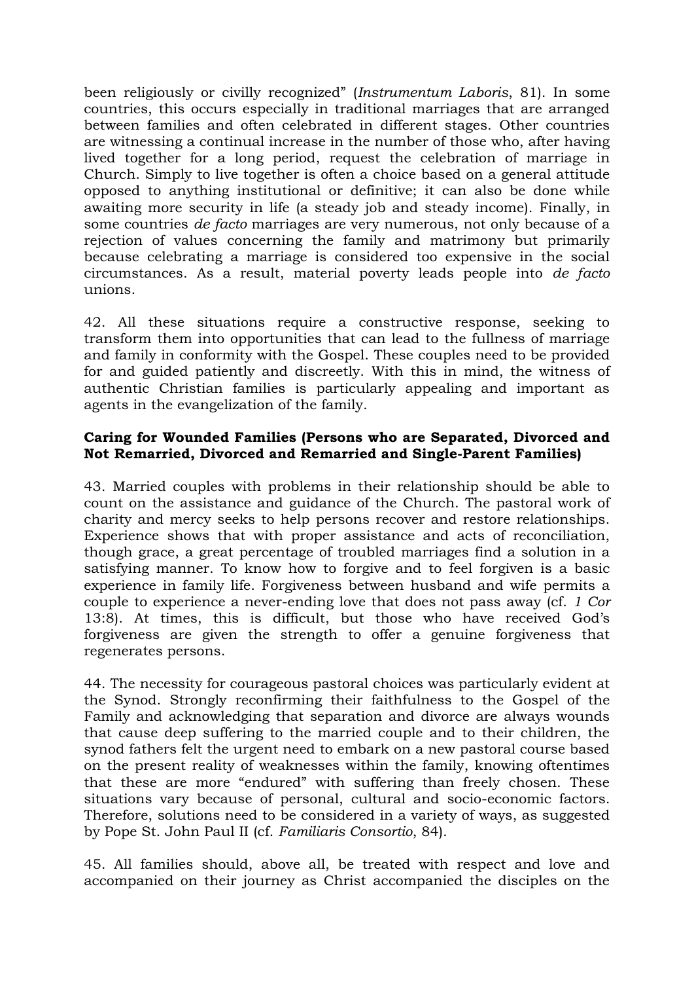been religiously or civilly recognized" (*Instrumentum Laboris*, 81). In some countries, this occurs especially in traditional marriages that are arranged between families and often celebrated in different stages. Other countries are witnessing a continual increase in the number of those who, after having lived together for a long period, request the celebration of marriage in Church. Simply to live together is often a choice based on a general attitude opposed to anything institutional or definitive; it can also be done while awaiting more security in life (a steady job and steady income). Finally, in some countries *de facto* marriages are very numerous, not only because of a rejection of values concerning the family and matrimony but primarily because celebrating a marriage is considered too expensive in the social circumstances. As a result, material poverty leads people into *de facto* unions.

42. All these situations require a constructive response, seeking to transform them into opportunities that can lead to the fullness of marriage and family in conformity with the Gospel. These couples need to be provided for and guided patiently and discreetly. With this in mind, the witness of authentic Christian families is particularly appealing and important as agents in the evangelization of the family.

#### **Caring for Wounded Families (Persons who are Separated, Divorced and Not Remarried, Divorced and Remarried and Single-Parent Families)**

43. Married couples with problems in their relationship should be able to count on the assistance and guidance of the Church. The pastoral work of charity and mercy seeks to help persons recover and restore relationships. Experience shows that with proper assistance and acts of reconciliation, though grace, a great percentage of troubled marriages find a solution in a satisfying manner. To know how to forgive and to feel forgiven is a basic experience in family life. Forgiveness between husband and wife permits a couple to experience a never-ending love that does not pass away (cf. *1 Cor* 13:8). At times, this is difficult, but those who have received God's forgiveness are given the strength to offer a genuine forgiveness that regenerates persons.

44. The necessity for courageous pastoral choices was particularly evident at the Synod. Strongly reconfirming their faithfulness to the Gospel of the Family and acknowledging that separation and divorce are always wounds that cause deep suffering to the married couple and to their children, the synod fathers felt the urgent need to embark on a new pastoral course based on the present reality of weaknesses within the family, knowing oftentimes that these are more "endured" with suffering than freely chosen. These situations vary because of personal, cultural and socio-economic factors. Therefore, solutions need to be considered in a variety of ways, as suggested by Pope St. John Paul II (cf. *Familiaris Consortio*, 84).

45. All families should, above all, be treated with respect and love and accompanied on their journey as Christ accompanied the disciples on the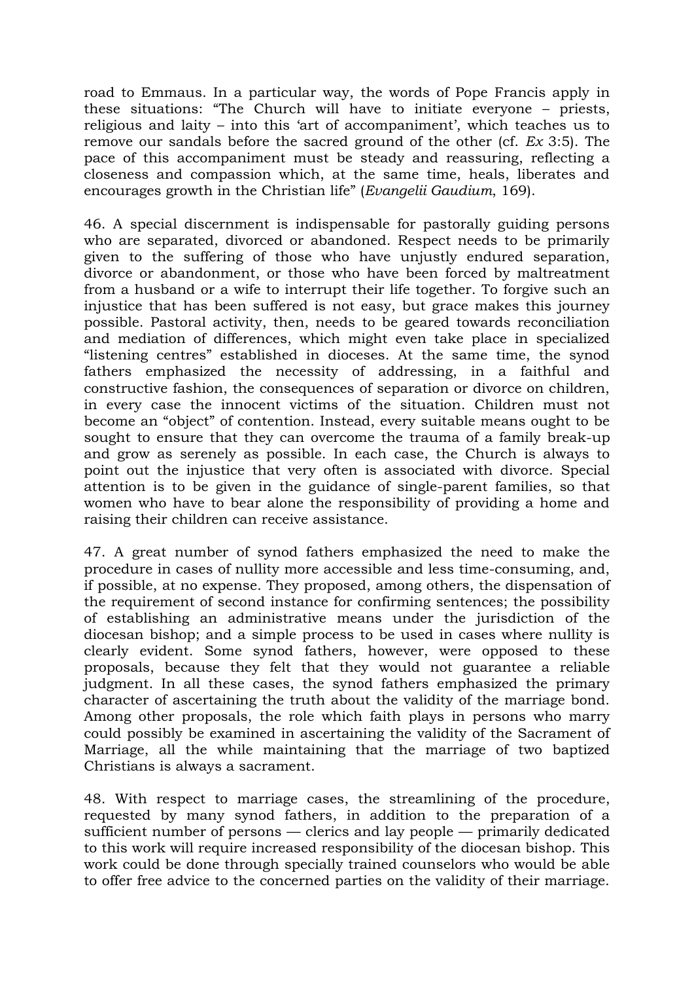road to Emmaus. In a particular way, the words of Pope Francis apply in these situations: "The Church will have to initiate everyone – priests, religious and laity – into this 'art of accompaniment', which teaches us to remove our sandals before the sacred ground of the other (cf. *Ex* 3:5). The pace of this accompaniment must be steady and reassuring, reflecting a closeness and compassion which, at the same time, heals, liberates and encourages growth in the Christian life" (*Evangelii Gaudium*, 169).

46. A special discernment is indispensable for pastorally guiding persons who are separated, divorced or abandoned. Respect needs to be primarily given to the suffering of those who have unjustly endured separation, divorce or abandonment, or those who have been forced by maltreatment from a husband or a wife to interrupt their life together. To forgive such an injustice that has been suffered is not easy, but grace makes this journey possible. Pastoral activity, then, needs to be geared towards reconciliation and mediation of differences, which might even take place in specialized "listening centres" established in dioceses. At the same time, the synod fathers emphasized the necessity of addressing, in a faithful and constructive fashion, the consequences of separation or divorce on children, in every case the innocent victims of the situation. Children must not become an "object" of contention. Instead, every suitable means ought to be sought to ensure that they can overcome the trauma of a family break-up and grow as serenely as possible. In each case, the Church is always to point out the injustice that very often is associated with divorce. Special attention is to be given in the guidance of single-parent families, so that women who have to bear alone the responsibility of providing a home and raising their children can receive assistance.

47. A great number of synod fathers emphasized the need to make the procedure in cases of nullity more accessible and less time-consuming, and, if possible, at no expense. They proposed, among others, the dispensation of the requirement of second instance for confirming sentences; the possibility of establishing an administrative means under the jurisdiction of the diocesan bishop; and a simple process to be used in cases where nullity is clearly evident. Some synod fathers, however, were opposed to these proposals, because they felt that they would not guarantee a reliable judgment. In all these cases, the synod fathers emphasized the primary character of ascertaining the truth about the validity of the marriage bond. Among other proposals, the role which faith plays in persons who marry could possibly be examined in ascertaining the validity of the Sacrament of Marriage, all the while maintaining that the marriage of two baptized Christians is always a sacrament.

48. With respect to marriage cases, the streamlining of the procedure, requested by many synod fathers, in addition to the preparation of a sufficient number of persons — clerics and lay people — primarily dedicated to this work will require increased responsibility of the diocesan bishop. This work could be done through specially trained counselors who would be able to offer free advice to the concerned parties on the validity of their marriage.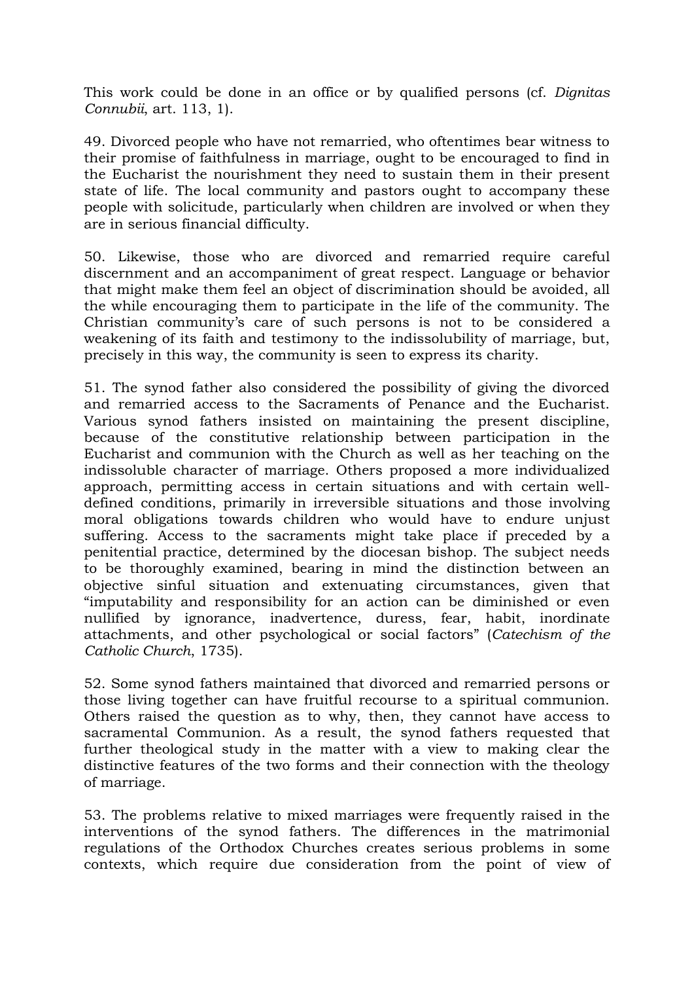This work could be done in an office or by qualified persons (cf. *Dignitas Connubii*, art. 113, 1).

49. Divorced people who have not remarried, who oftentimes bear witness to their promise of faithfulness in marriage, ought to be encouraged to find in the Eucharist the nourishment they need to sustain them in their present state of life. The local community and pastors ought to accompany these people with solicitude, particularly when children are involved or when they are in serious financial difficulty.

50. Likewise, those who are divorced and remarried require careful discernment and an accompaniment of great respect. Language or behavior that might make them feel an object of discrimination should be avoided, all the while encouraging them to participate in the life of the community. The Christian community's care of such persons is not to be considered a weakening of its faith and testimony to the indissolubility of marriage, but, precisely in this way, the community is seen to express its charity.

51. The synod father also considered the possibility of giving the divorced and remarried access to the Sacraments of Penance and the Eucharist. Various synod fathers insisted on maintaining the present discipline, because of the constitutive relationship between participation in the Eucharist and communion with the Church as well as her teaching on the indissoluble character of marriage. Others proposed a more individualized approach, permitting access in certain situations and with certain welldefined conditions, primarily in irreversible situations and those involving moral obligations towards children who would have to endure unjust suffering. Access to the sacraments might take place if preceded by a penitential practice, determined by the diocesan bishop. The subject needs to be thoroughly examined, bearing in mind the distinction between an objective sinful situation and extenuating circumstances, given that "imputability and responsibility for an action can be diminished or even nullified by ignorance, inadvertence, duress, fear, habit, inordinate attachments, and other psychological or social factors" (*Catechism of the Catholic Church*, 1735).

52. Some synod fathers maintained that divorced and remarried persons or those living together can have fruitful recourse to a spiritual communion. Others raised the question as to why, then, they cannot have access to sacramental Communion. As a result, the synod fathers requested that further theological study in the matter with a view to making clear the distinctive features of the two forms and their connection with the theology of marriage.

53. The problems relative to mixed marriages were frequently raised in the interventions of the synod fathers. The differences in the matrimonial regulations of the Orthodox Churches creates serious problems in some contexts, which require due consideration from the point of view of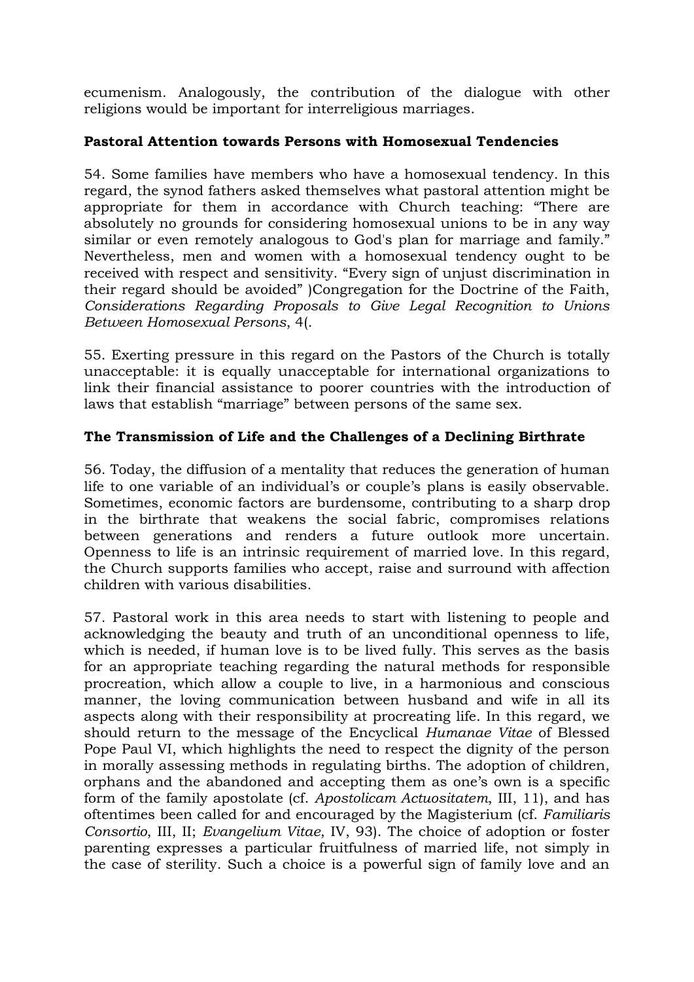ecumenism. Analogously, the contribution of the dialogue with other religions would be important for interreligious marriages.

### **Pastoral Attention towards Persons with Homosexual Tendencies**

54. Some families have members who have a homosexual tendency. In this regard, the synod fathers asked themselves what pastoral attention might be appropriate for them in accordance with Church teaching: "There are absolutely no grounds for considering homosexual unions to be in any way similar or even remotely analogous to God's plan for marriage and family." Nevertheless, men and women with a homosexual tendency ought to be received with respect and sensitivity. "Every sign of unjust discrimination in their regard should be avoided" )Congregation for the Doctrine of the Faith, *Considerations Regarding Proposals to Give Legal Recognition to Unions Between Homosexual Persons*, 4(.

55. Exerting pressure in this regard on the Pastors of the Church is totally unacceptable: it is equally unacceptable for international organizations to link their financial assistance to poorer countries with the introduction of laws that establish "marriage" between persons of the same sex.

### **The Transmission of Life and the Challenges of a Declining Birthrate**

56. Today, the diffusion of a mentality that reduces the generation of human life to one variable of an individual's or couple's plans is easily observable. Sometimes, economic factors are burdensome, contributing to a sharp drop in the birthrate that weakens the social fabric, compromises relations between generations and renders a future outlook more uncertain. Openness to life is an intrinsic requirement of married love. In this regard, the Church supports families who accept, raise and surround with affection children with various disabilities.

57. Pastoral work in this area needs to start with listening to people and acknowledging the beauty and truth of an unconditional openness to life, which is needed, if human love is to be lived fully. This serves as the basis for an appropriate teaching regarding the natural methods for responsible procreation, which allow a couple to live, in a harmonious and conscious manner, the loving communication between husband and wife in all its aspects along with their responsibility at procreating life. In this regard, we should return to the message of the Encyclical *Humanae Vitae* of Blessed Pope Paul VI, which highlights the need to respect the dignity of the person in morally assessing methods in regulating births. The adoption of children, orphans and the abandoned and accepting them as one's own is a specific form of the family apostolate (cf. *Apostolicam Actuositatem*, III, 11), and has oftentimes been called for and encouraged by the Magisterium (cf. *Familiaris Consortio*, III, II; *Evangelium Vitae*, IV, 93). The choice of adoption or foster parenting expresses a particular fruitfulness of married life, not simply in the case of sterility. Such a choice is a powerful sign of family love and an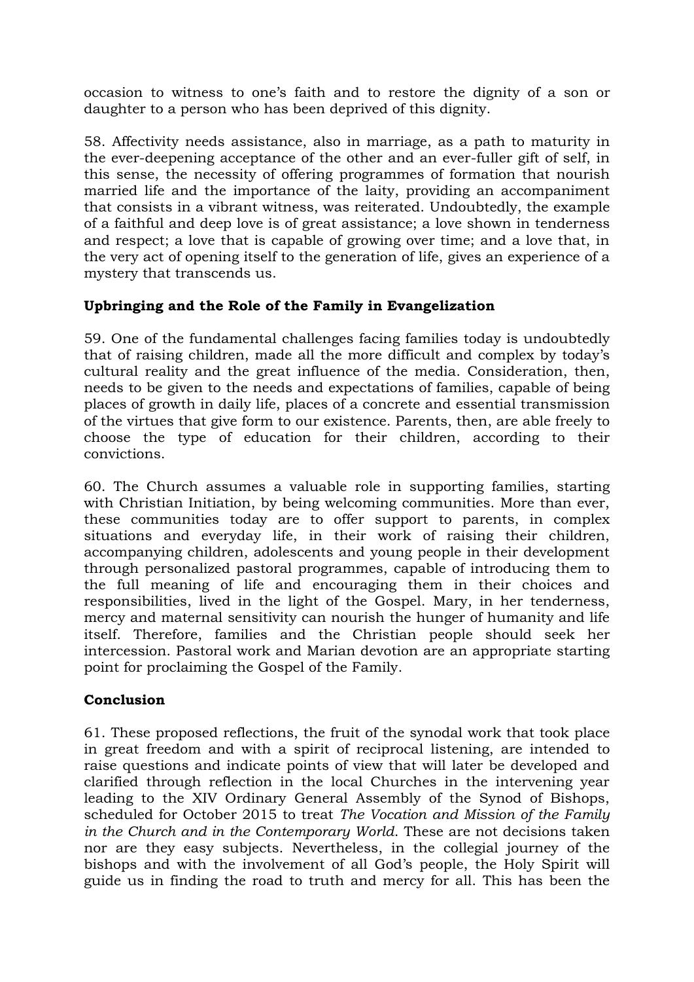occasion to witness to one's faith and to restore the dignity of a son or daughter to a person who has been deprived of this dignity.

58. Affectivity needs assistance, also in marriage, as a path to maturity in the ever-deepening acceptance of the other and an ever-fuller gift of self, in this sense, the necessity of offering programmes of formation that nourish married life and the importance of the laity, providing an accompaniment that consists in a vibrant witness, was reiterated. Undoubtedly, the example of a faithful and deep love is of great assistance; a love shown in tenderness and respect; a love that is capable of growing over time; and a love that, in the very act of opening itself to the generation of life, gives an experience of a mystery that transcends us.

## **Upbringing and the Role of the Family in Evangelization**

59. One of the fundamental challenges facing families today is undoubtedly that of raising children, made all the more difficult and complex by today's cultural reality and the great influence of the media. Consideration, then, needs to be given to the needs and expectations of families, capable of being places of growth in daily life, places of a concrete and essential transmission of the virtues that give form to our existence. Parents, then, are able freely to choose the type of education for their children, according to their convictions.

60. The Church assumes a valuable role in supporting families, starting with Christian Initiation, by being welcoming communities. More than ever, these communities today are to offer support to parents, in complex situations and everyday life, in their work of raising their children, accompanying children, adolescents and young people in their development through personalized pastoral programmes, capable of introducing them to the full meaning of life and encouraging them in their choices and responsibilities, lived in the light of the Gospel. Mary, in her tenderness, mercy and maternal sensitivity can nourish the hunger of humanity and life itself. Therefore, families and the Christian people should seek her intercession. Pastoral work and Marian devotion are an appropriate starting point for proclaiming the Gospel of the Family.

#### **Conclusion**

61. These proposed reflections, the fruit of the synodal work that took place in great freedom and with a spirit of reciprocal listening, are intended to raise questions and indicate points of view that will later be developed and clarified through reflection in the local Churches in the intervening year leading to the XIV Ordinary General Assembly of the Synod of Bishops, scheduled for October 2015 to treat *The Vocation and Mission of the Family in the Church and in the Contemporary World*. These are not decisions taken nor are they easy subjects. Nevertheless, in the collegial journey of the bishops and with the involvement of all God's people, the Holy Spirit will guide us in finding the road to truth and mercy for all. This has been the